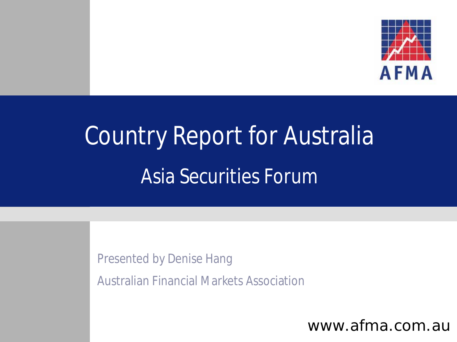

# Country Report for Australia Asia Securities Forum

Presented by Denise Hang

Australian Financial Markets Association

www.afma.com.au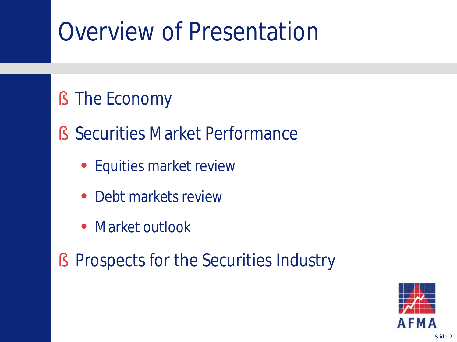## Overview of Presentation

#### § The Economy

- § Securities Market Performance
	- Equities market review
	- Debt markets review
	- Market outlook
- § Prospects for the Securities Industry

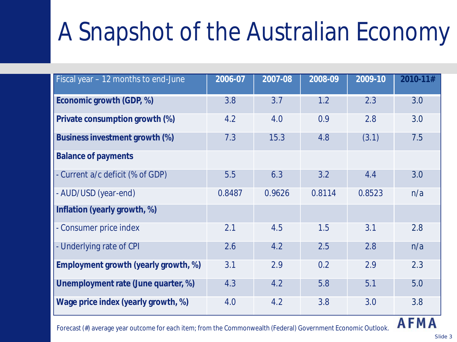# A Snapshot of the Australian Economy

| Fiscal year - 12 months to end-June                                                                        | 2006-07 | 2007-08 | 2008-09 | 2009-10 | 2010-11#    |
|------------------------------------------------------------------------------------------------------------|---------|---------|---------|---------|-------------|
| Economic growth (GDP, %)                                                                                   | 3.8     | 3.7     | 1.2     | 2.3     | 3.0         |
| Private consumption growth (%)                                                                             | 4.2     | 4.0     | 0.9     | 2.8     | 3.0         |
| Business investment growth (%)                                                                             | 7.3     | 15.3    | 4.8     | (3.1)   | 7.5         |
| <b>Balance of payments</b>                                                                                 |         |         |         |         |             |
| - Current a/c deficit (% of GDP)                                                                           | 5.5     | 6.3     | 3.2     | 4.4     | 3.0         |
| - AUD/USD (year-end)                                                                                       | 0.8487  | 0.9626  | 0.8114  | 0.8523  | n/a         |
| Inflation (yearly growth, %)                                                                               |         |         |         |         |             |
| - Consumer price index                                                                                     | 2.1     | 4.5     | 1.5     | 3.1     | 2.8         |
| - Underlying rate of CPI                                                                                   | 2.6     | 4.2     | 2.5     | 2.8     | n/a         |
| Employment growth (yearly growth, %)                                                                       | 3.1     | 2.9     | 0.2     | 2.9     | 2.3         |
| Unemployment rate (June quarter, %)                                                                        | 4.3     | 4.2     | 5.8     | 5.1     | 5.0         |
| Wage price index (yearly growth, %)                                                                        | 4.0     | 4.2     | 3.8     | 3.0     | 3.8         |
| Escosot (#) average veer outcome for each item from the Commonwealth (Eederal) Covernment Economic Outlook |         |         |         |         | <b>AFMA</b> |

Forecast (#) average year outcome for *each* item; from the Commonwealth (Federal) Government Economic Outlook.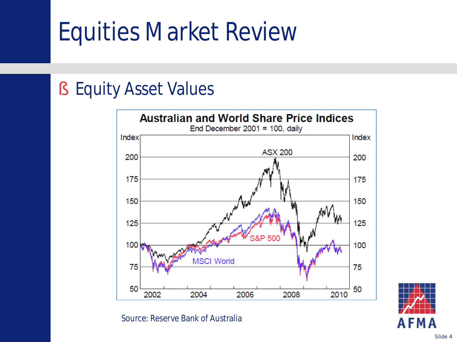## Equities Market Review

#### § Equity Asset Values



Source: Reserve Bank of Australia

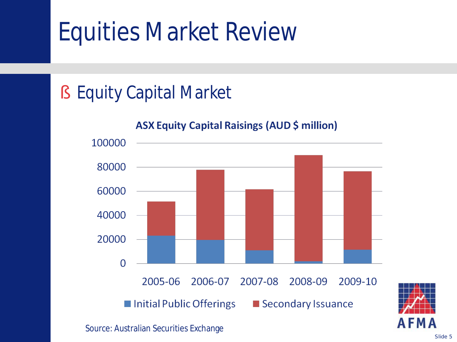## Equities Market Review

### § Equity Capital Market

#### **ASX Equity Capital Raisings (AUD \$ million)**



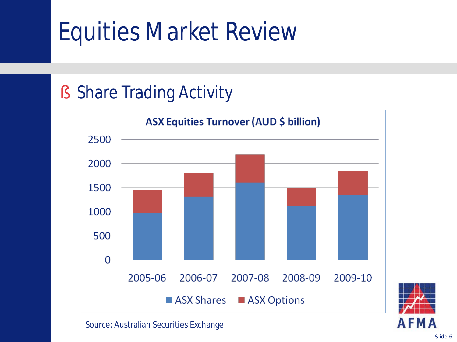## Equities Market Review

### § Share Trading Activity



**AFM** 

Source: Australian Securities Exchange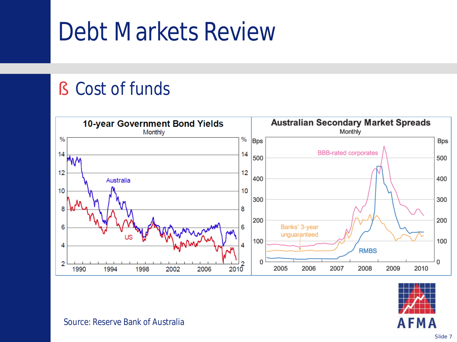### Debt Markets Review

#### § Cost of funds





Source: Reserve Bank of Australia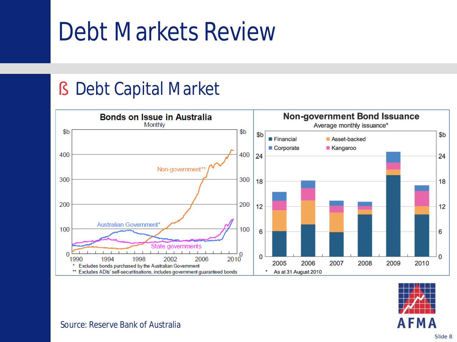### Debt Markets Review

#### § Debt Capital Market





#### Source: Reserve Bank of Australia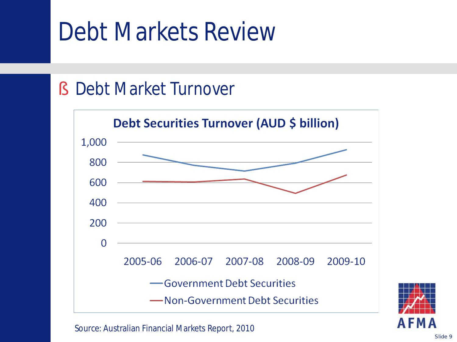### Debt Markets Review

#### § Debt Market Turnover



Source: Australian Financial Markets Report, 2010